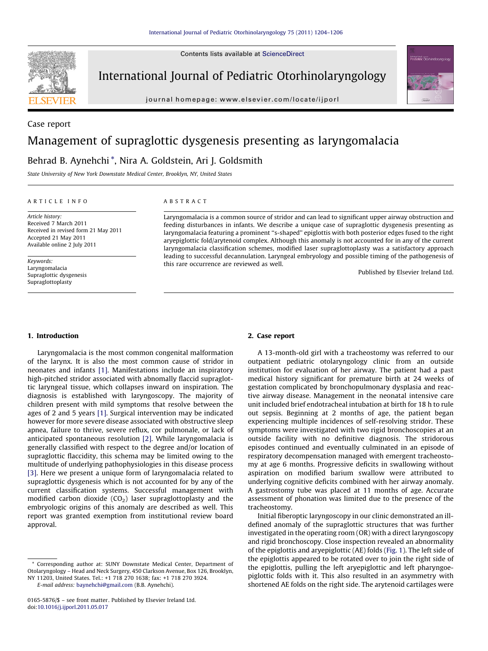Contents lists available at [ScienceDirect](http://www.sciencedirect.com/science/journal/01655876)



International Journal of Pediatric Otorhinolaryngology

journal homepage: www.elsevier.com/locate/ijporl



Case report

# Management of supraglottic dysgenesis presenting as laryngomalacia

Behrad B. Aynehchi \*, Nira A. Goldstein, Ari J. Goldsmith

State University of New York Downstate Medical Center, Brooklyn, NY, United States

#### A R T I C L E I N F O

Article history: Received 7 March 2011 Received in revised form 21 May 2011 Accepted 21 May 2011 Available online 2 July 2011

Keywords: Laryngomalacia Supraglottic dysgenesis Supraglottoplasty

# A B S T R A C T

Laryngomalacia is a common source of stridor and can lead to significant upper airway obstruction and feeding disturbances in infants. We describe a unique case of supraglottic dysgenesis presenting as laryngomalacia featuring a prominent ''s-shaped'' epiglottis with both posterior edges fused to the right aryepiglottic fold/arytenoid complex. Although this anomaly is not accounted for in any of the current laryngomalacia classification schemes, modified laser supraglottoplasty was a satisfactory approach leading to successful decannulation. Laryngeal embryology and possible timing of the pathogenesis of this rare occurrence are reviewed as well.

Published by Elsevier Ireland Ltd.

### 1. Introduction

Laryngomalacia is the most common congenital malformation of the larynx. It is also the most common cause of stridor in neonates and infants [\[1\]](#page-2-0). Manifestations include an inspiratory high-pitched stridor associated with abnomally flaccid supraglottic laryngeal tissue, which collapses inward on inspiration. The diagnosis is established with laryngoscopy. The majority of children present with mild symptoms that resolve between the ages of 2 and 5 years [\[1\].](#page-2-0) Surgical intervention may be indicated however for more severe disease associated with obstructive sleep apnea, failure to thrive, severe reflux, cor pulmonale, or lack of anticipated spontaneous resolution [\[2\].](#page-2-0) While laryngomalacia is generally classified with respect to the degree and/or location of supraglottic flaccidity, this schema may be limited owing to the multitude of underlying pathophysiologies in this disease process [\[3\].](#page-2-0) Here we present a unique form of laryngomalacia related to supraglottic dysgenesis which is not accounted for by any of the current classification systems. Successful management with modified carbon dioxide  $(CO<sub>2</sub>)$  laser supraglottoplasty and the embryologic origins of this anomaly are described as well. This report was granted exemption from institutional review board approval.

E-mail address: [baynehchi@gmail.com](mailto:baynehchi@gmail.com) (B.B. Aynehchi).

### 2. Case report

A 13-month-old girl with a tracheostomy was referred to our outpatient pediatric otolaryngology clinic from an outside institution for evaluation of her airway. The patient had a past medical history significant for premature birth at 24 weeks of gestation complicated by bronchopulmonary dysplasia and reactive airway disease. Management in the neonatal intensive care unit included brief endotracheal intubation at birth for 18 h to rule out sepsis. Beginning at 2 months of age, the patient began experiencing multiple incidences of self-resolving stridor. These symptoms were investigated with two rigid bronchoscopies at an outside facility with no definitive diagnosis. The stridorous episodes continued and eventually culminated in an episode of respiratory decompensation managed with emergent tracheostomy at age 6 months. Progressive deficits in swallowing without aspiration on modified barium swallow were attributed to underlying cognitive deficits combined with her airway anomaly. A gastrostomy tube was placed at 11 months of age. Accurate assessment of phonation was limited due to the presence of the tracheostomy.

Initial fiberoptic laryngoscopy in our clinic demonstrated an illdefined anomaly of the supraglottic structures that was further investigated in the operating room (OR) with a direct laryngoscopy and rigid bronchoscopy. Close inspection revealed an abnormality of the epiglottis and aryepiglottic (AE) folds ([Fig.](#page-1-0) 1). The left side of the epiglottis appeared to be rotated over to join the right side of the epiglottis, pulling the left aryepiglottic and left pharyngoepiglottic folds with it. This also resulted in an asymmetry with shortened AE folds on the right side. The arytenoid cartilages were

<sup>\*</sup> Corresponding author at: SUNY Downstate Medical Center, Department of Otolaryngology – Head and Neck Surgery, 450 Clarkson Avenue, Box 126, Brooklyn, NY 11203, United States. Tel.: +1 718 270 1638; fax: +1 718 270 3924.

<sup>0165-5876/\$</sup> – see front matter . Published by Elsevier Ireland Ltd. doi:[10.1016/j.ijporl.2011.05.017](http://dx.doi.org/10.1016/j.ijporl.2011.05.017)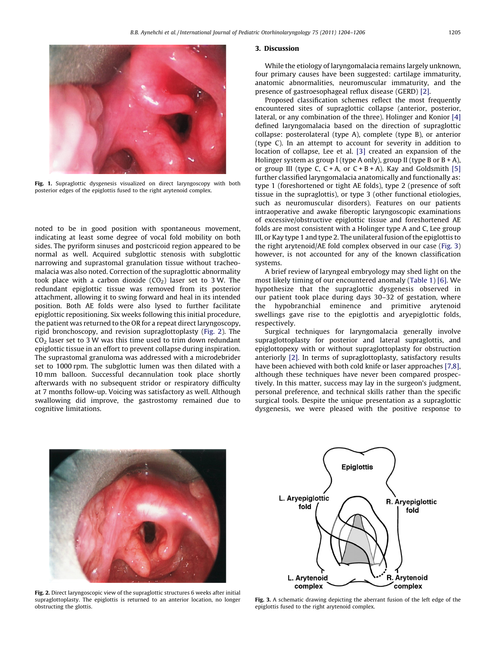<span id="page-1-0"></span>

Fig. 1. Supraglottic dysgenesis visualized on direct laryngoscopy with both posterior edges of the epiglottis fused to the right arytenoid complex.

noted to be in good position with spontaneous movement, indicating at least some degree of vocal fold mobility on both sides. The pyriform sinuses and postcricoid region appeared to be normal as well. Acquired subglottic stenosis with subglottic narrowing and suprastomal granulation tissue without tracheomalacia was also noted. Correction of the supraglottic abnormality took place with a carbon dioxide  $(CO<sub>2</sub>)$  laser set to 3 W. The redundant epiglottic tissue was removed from its posterior attachment, allowing it to swing forward and heal in its intended position. Both AE folds were also lysed to further facilitate epiglottic repositioning. Six weeks following this initial procedure, the patient was returned to the OR for a repeat direct laryngoscopy, rigid bronchoscopy, and revision supraglottoplasty (Fig. 2). The  $CO<sub>2</sub>$  laser set to 3 W was this time used to trim down redundant epiglottic tissue in an effort to prevent collapse during inspiration. The suprastomal granuloma was addressed with a microdebrider set to 1000 rpm. The subglottic lumen was then dilated with a 10 mm balloon. Successful decannulation took place shortly afterwards with no subsequent stridor or respiratory difficulty at 7 months follow-up. Voicing was satisfactory as well. Although swallowing did improve, the gastrostomy remained due to cognitive limitations.

#### 3. Discussion

While the etiology of laryngomalacia remains largely unknown, four primary causes have been suggested: cartilage immaturity, anatomic abnormalities, neuromuscular immaturity, and the presence of gastroesophageal reflux disease (GERD) [\[2\]](#page-2-0).

Proposed classification schemes reflect the most frequently encountered sites of supraglottic collapse (anterior, posterior, lateral, or any combination of the three). Holinger and Konior [\[4\]](#page-2-0) defined laryngomalacia based on the direction of supraglottic collapse: posterolateral (type A), complete (type B), or anterior (type C). In an attempt to account for severity in addition to location of collapse, Lee et al. [\[3\]](#page-2-0) created an expansion of the Holinger system as group I (type A only), group II (type B or  $B + A$ ), or group III (type C,  $C + A$ , or  $C + B + A$ ). Kay and Goldsmith [\[5\]](#page-2-0) further classified laryngomalacia anatomically and functionally as: type 1 (foreshortened or tight AE folds), type 2 (presence of soft tissue in the supraglottis), or type 3 (other functional etiologies, such as neuromuscular disorders). Features on our patients intraoperative and awake fiberoptic laryngoscopic examinations of excessive/obstructive epiglottic tissue and foreshortened AE folds are most consistent with a Holinger type A and C, Lee group III, or Kay type 1 and type 2. The unilateral fusion ofthe epiglottis to the right arytenoid/AE fold complex observed in our case (Fig. 3) however, is not accounted for any of the known classification systems.

A brief review of laryngeal embryology may shed light on the most likely timing of our encountered anomaly ([Table](#page-2-0) 1) [\[6\]](#page-2-0). We hypothesize that the supraglottic dysgenesis observed in our patient took place during days 30–32 of gestation, where the hypobranchial eminence and primitive arytenoid swellings gave rise to the epiglottis and aryepiglottic folds, respectively.

Surgical techniques for laryngomalacia generally involve supraglottoplasty for posterior and lateral supraglottis, and epiglottopexy with or without supraglottoplasty for obstruction anteriorly [\[2\].](#page-2-0) In terms of supraglottoplasty, satisfactory results have been achieved with both cold knife or laser approaches [\[7,8\],](#page-2-0) although these techniques have never been compared prospectively. In this matter, success may lay in the surgeon's judgment, personal preference, and technical skills rather than the specific surgical tools. Despite the unique presentation as a supraglottic dysgenesis, we were pleased with the positive response to



Fig. 2. Direct laryngoscopic view of the supraglottic structures 6 weeks after initial supraglottoplasty. The epiglottis is returned to an anterior location, no longer obstructing the glottis.



Fig. 3. A schematic drawing depicting the aberrant fusion of the left edge of the epiglottis fused to the right arytenoid complex.